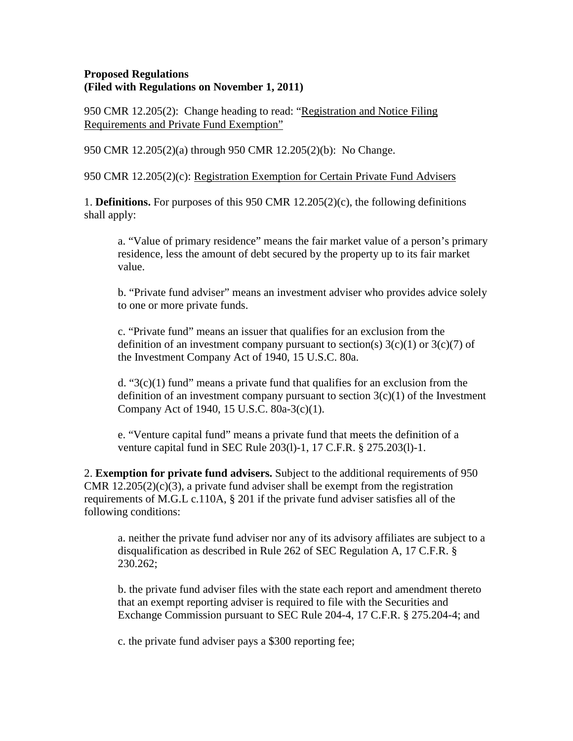#### **Proposed Regulations (Filed with Regulations on November 1, 2011)**

950 CMR 12.205(2): Change heading to read: "Registration and Notice Filing Requirements and Private Fund Exemption"

950 CMR 12.205(2)(a) through 950 CMR 12.205(2)(b): No Change.

950 CMR 12.205(2)(c): Registration Exemption for Certain Private Fund Advisers

1. **Definitions.** For purposes of this 950 CMR 12.205(2)(c), the following definitions shall apply:

a. "Value of primary residence" means the fair market value of a person's primary residence, less the amount of debt secured by the property up to its fair market value.

b. "Private fund adviser" means an investment adviser who provides advice solely to one or more private funds.

c. "Private fund" means an issuer that qualifies for an exclusion from the definition of an investment company pursuant to section(s)  $3(c)(1)$  or  $3(c)(7)$  of the Investment Company Act of 1940, 15 U.S.C. 80a.

d. " $3(c)(1)$  fund" means a private fund that qualifies for an exclusion from the definition of an investment company pursuant to section  $3(c)(1)$  of the Investment Company Act of 1940, 15 U.S.C. 80a-3(c)(1).

e. "Venture capital fund" means a private fund that meets the definition of a venture capital fund in SEC Rule 203(l)-1, 17 C.F.R. § 275.203(l)-1.

2. **Exemption for private fund advisers.** Subject to the additional requirements of 950 CMR  $12.205(2)(c)(3)$ , a private fund adviser shall be exempt from the registration requirements of M.G.L c.110A, § 201 if the private fund adviser satisfies all of the following conditions:

a. neither the private fund adviser nor any of its advisory affiliates are subject to a disqualification as described in Rule 262 of SEC Regulation A, 17 C.F.R. § 230.262;

b. the private fund adviser files with the state each report and amendment thereto that an exempt reporting adviser is required to file with the Securities and Exchange Commission pursuant to SEC Rule 204-4, 17 C.F.R. § 275.204-4; and

c. the private fund adviser pays a \$300 reporting fee;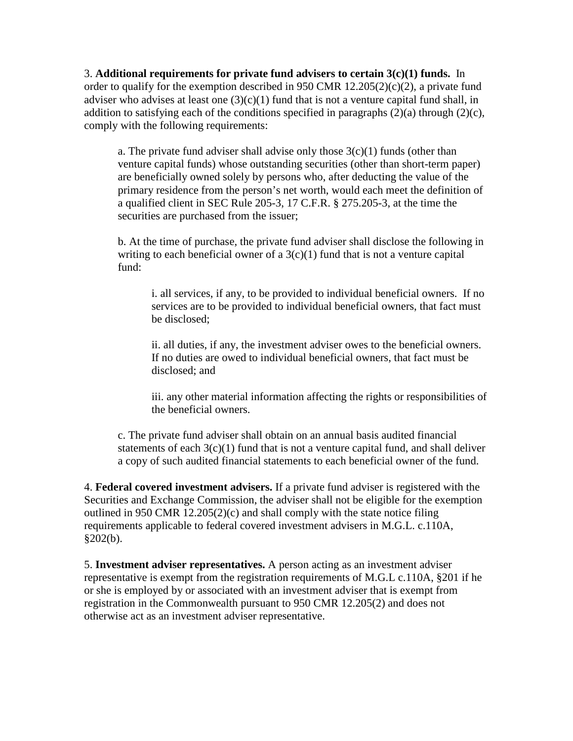3. **Additional requirements for private fund advisers to certain 3(c)(1) funds.** In order to qualify for the exemption described in 950 CMR  $12.205(2)(c)(2)$ , a private fund adviser who advises at least one  $(3)(c)(1)$  fund that is not a venture capital fund shall, in addition to satisfying each of the conditions specified in paragraphs  $(2)(a)$  through  $(2)(c)$ , comply with the following requirements:

a. The private fund adviser shall advise only those  $3(c)(1)$  funds (other than venture capital funds) whose outstanding securities (other than short-term paper) are beneficially owned solely by persons who, after deducting the value of the primary residence from the person's net worth, would each meet the definition of a qualified client in SEC Rule 205-3, 17 C.F.R. § 275.205-3, at the time the securities are purchased from the issuer;

b. At the time of purchase, the private fund adviser shall disclose the following in writing to each beneficial owner of a  $3(c)(1)$  fund that is not a venture capital fund:

i. all services, if any, to be provided to individual beneficial owners. If no services are to be provided to individual beneficial owners, that fact must be disclosed;

ii. all duties, if any, the investment adviser owes to the beneficial owners. If no duties are owed to individual beneficial owners, that fact must be disclosed; and

iii. any other material information affecting the rights or responsibilities of the beneficial owners.

c. The private fund adviser shall obtain on an annual basis audited financial statements of each  $3(c)(1)$  fund that is not a venture capital fund, and shall deliver a copy of such audited financial statements to each beneficial owner of the fund.

4. **Federal covered investment advisers.** If a private fund adviser is registered with the Securities and Exchange Commission, the adviser shall not be eligible for the exemption outlined in 950 CMR 12.205(2)(c) and shall comply with the state notice filing requirements applicable to federal covered investment advisers in M.G.L. c.110A,  $§202(b).$ 

5. **Investment adviser representatives.** A person acting as an investment adviser representative is exempt from the registration requirements of M.G.L c.110A, §201 if he or she is employed by or associated with an investment adviser that is exempt from registration in the Commonwealth pursuant to 950 CMR 12.205(2) and does not otherwise act as an investment adviser representative.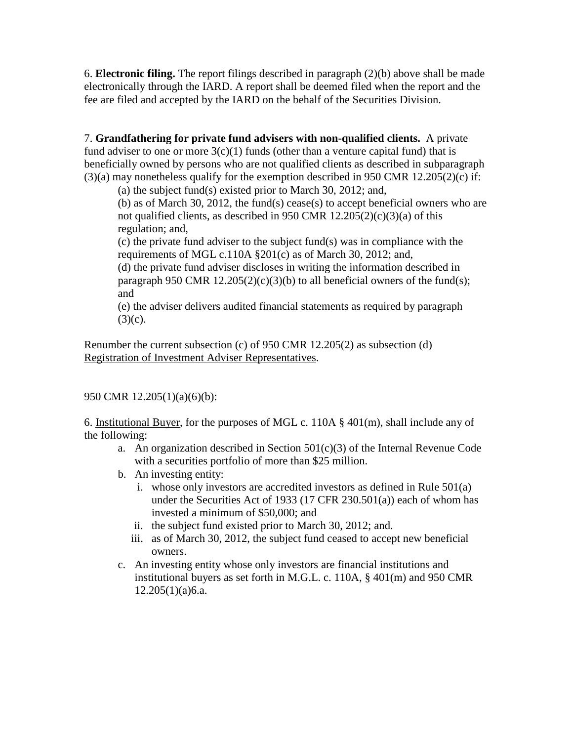6. **Electronic filing.** The report filings described in paragraph (2)(b) above shall be made electronically through the IARD. A report shall be deemed filed when the report and the fee are filed and accepted by the IARD on the behalf of the Securities Division.

7. **Grandfathering for private fund advisers with non-qualified clients.** A private fund adviser to one or more  $3(c)(1)$  funds (other than a venture capital fund) that is beneficially owned by persons who are not qualified clients as described in subparagraph  $(3)(a)$  may nonetheless qualify for the exemption described in 950 CMR 12.205(2)(c) if:

(a) the subject fund(s) existed prior to March 30, 2012; and,

(b) as of March 30, 2012, the fund(s) cease(s) to accept beneficial owners who are not qualified clients, as described in 950 CMR 12.205(2)(c)(3)(a) of this regulation; and,

(c) the private fund adviser to the subject fund(s) was in compliance with the requirements of MGL c.110A §201(c) as of March 30, 2012; and,

(d) the private fund adviser discloses in writing the information described in paragraph 950 CMR 12.205(2)(c)(3)(b) to all beneficial owners of the fund(s); and

(e) the adviser delivers audited financial statements as required by paragraph  $(3)(c)$ .

Renumber the current subsection (c) of 950 CMR 12.205(2) as subsection (d) Registration of Investment Adviser Representatives.

## 950 CMR 12.205(1)(a)(6)(b):

6. Institutional Buyer, for the purposes of MGL c. 110A § 401(m), shall include any of the following:

- a. An organization described in Section 501(c)(3) of the Internal Revenue Code with a securities portfolio of more than \$25 million.
- b. An investing entity:
	- i. whose only investors are accredited investors as defined in Rule 501(a) under the Securities Act of 1933 (17 CFR 230.501(a)) each of whom has invested a minimum of \$50,000; and
	- ii. the subject fund existed prior to March 30, 2012; and.
	- iii. as of March 30, 2012, the subject fund ceased to accept new beneficial owners.
- c. An investing entity whose only investors are financial institutions and institutional buyers as set forth in M.G.L. c. 110A, § 401(m) and 950 CMR  $12.205(1)(a)6.a.$